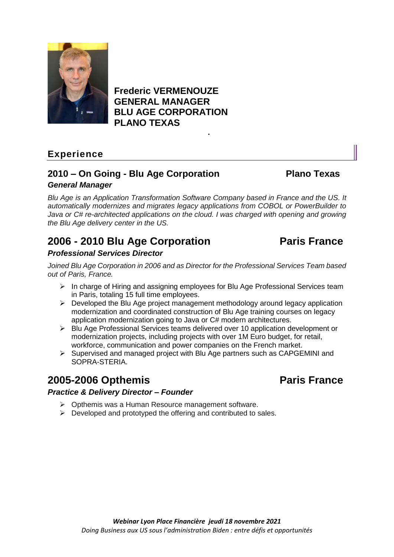

## **Frederic VERMENOUZE GENERAL MANAGER BLU AGE CORPORATION PLANO TEXAS .**

## **Experience**

## **2010 – On Going - Blu Age Corporation Plano Texas** *General Manager*

*Blu Age is an Application Transformation Software Company based in France and the US. It automatically modernizes and migrates legacy applications from COBOL or PowerBuilder to Java or C# re-architected applications on the cloud. I was charged with opening and growing the Blu Age delivery center in the US.*

# **2006 - 2010 Blu Age Corporation Paris France**

### *Professional Services Director*

*Joined Blu Age Corporation in 2006 and as Director for the Professional Services Team based out of Paris, France.*

- $\triangleright$  In charge of Hiring and assigning employees for Blu Age Professional Services team in Paris, totaling 15 full time employees.
- ➢ Developed the Blu Age project management methodology around legacy application modernization and coordinated construction of Blu Age training courses on legacy application modernization going to Java or C# modern architectures.
- ➢ Blu Age Professional Services teams delivered over 10 application development or modernization projects, including projects with over 1M Euro budget, for retail, workforce, communication and power companies on the French market.
- ➢ Supervised and managed project with Blu Age partners such as CAPGEMINI and SOPRA-STERIA.

## **2005-2006 Opthemis Paris France**

#### *Practice & Delivery Director – Founder*

- ➢ Opthemis was a Human Resource management software.
- $\triangleright$  Developed and prototyped the offering and contributed to sales.